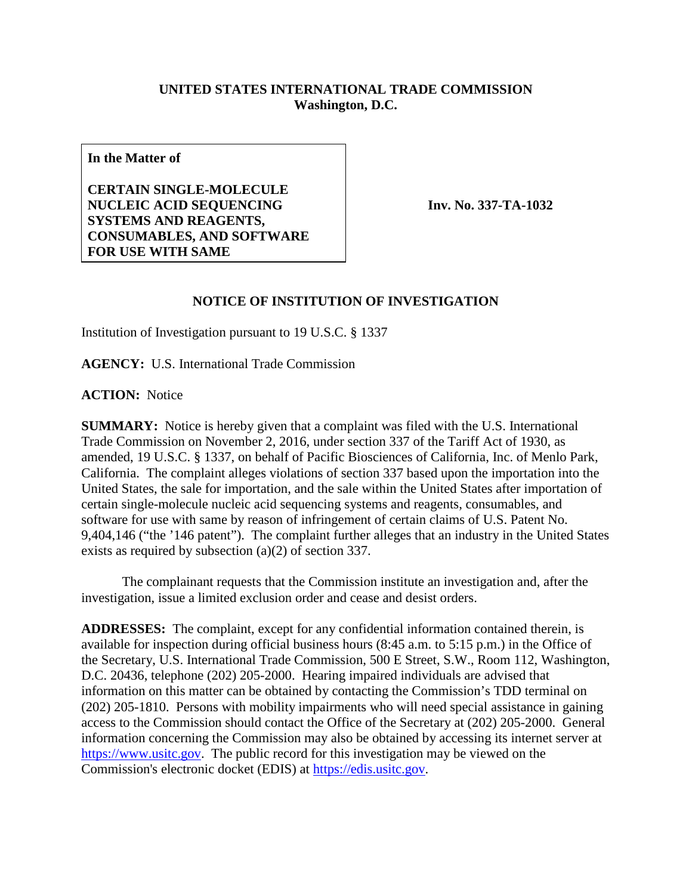## **UNITED STATES INTERNATIONAL TRADE COMMISSION Washington, D.C.**

**In the Matter of**

**CERTAIN SINGLE-MOLECULE NUCLEIC ACID SEQUENCING SYSTEMS AND REAGENTS, CONSUMABLES, AND SOFTWARE FOR USE WITH SAME**

**Inv. No. 337-TA-1032**

## **NOTICE OF INSTITUTION OF INVESTIGATION**

Institution of Investigation pursuant to 19 U.S.C. § 1337

**AGENCY:** U.S. International Trade Commission

**ACTION:** Notice

**SUMMARY:** Notice is hereby given that a complaint was filed with the U.S. International Trade Commission on November 2, 2016, under section 337 of the Tariff Act of 1930, as amended, 19 U.S.C. § 1337, on behalf of Pacific Biosciences of California, Inc. of Menlo Park, California. The complaint alleges violations of section 337 based upon the importation into the United States, the sale for importation, and the sale within the United States after importation of certain single-molecule nucleic acid sequencing systems and reagents, consumables, and software for use with same by reason of infringement of certain claims of U.S. Patent No. 9,404,146 ("the '146 patent"). The complaint further alleges that an industry in the United States exists as required by subsection (a)(2) of section 337.

The complainant requests that the Commission institute an investigation and, after the investigation, issue a limited exclusion order and cease and desist orders.

**ADDRESSES:** The complaint, except for any confidential information contained therein, is available for inspection during official business hours (8:45 a.m. to 5:15 p.m.) in the Office of the Secretary, U.S. International Trade Commission, 500 E Street, S.W., Room 112, Washington, D.C. 20436, telephone (202) 205-2000. Hearing impaired individuals are advised that information on this matter can be obtained by contacting the Commission's TDD terminal on (202) 205-1810. Persons with mobility impairments who will need special assistance in gaining access to the Commission should contact the Office of the Secretary at (202) 205-2000. General information concerning the Commission may also be obtained by accessing its internet server at [https://www.usitc.gov.](https://www.usitc.gov/) The public record for this investigation may be viewed on the Commission's electronic docket (EDIS) at [https://edis.usitc.gov.](https://edis.usitc.gov/)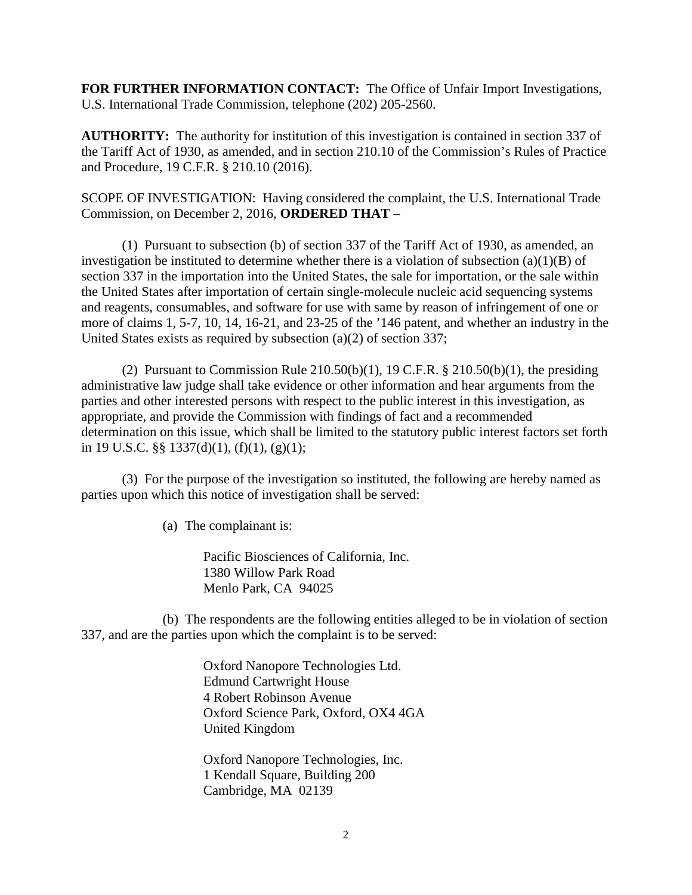**FOR FURTHER INFORMATION CONTACT:** The Office of Unfair Import Investigations, U.S. International Trade Commission, telephone (202) 205-2560.

**AUTHORITY:** The authority for institution of this investigation is contained in section 337 of the Tariff Act of 1930, as amended, and in section 210.10 of the Commission's Rules of Practice and Procedure, 19 C.F.R. § 210.10 (2016).

SCOPE OF INVESTIGATION: Having considered the complaint, the U.S. International Trade Commission, on December 2, 2016, **ORDERED THAT** –

(1) Pursuant to subsection (b) of section 337 of the Tariff Act of 1930, as amended, an investigation be instituted to determine whether there is a violation of subsection  $(a)(1)(B)$  of section 337 in the importation into the United States, the sale for importation, or the sale within the United States after importation of certain single-molecule nucleic acid sequencing systems and reagents, consumables, and software for use with same by reason of infringement of one or more of claims 1, 5-7, 10, 14, 16-21, and 23-25 of the '146 patent, and whether an industry in the United States exists as required by subsection (a)(2) of section 337;

(2) Pursuant to Commission Rule  $210.50(b)(1)$ , 19 C.F.R. §  $210.50(b)(1)$ , the presiding administrative law judge shall take evidence or other information and hear arguments from the parties and other interested persons with respect to the public interest in this investigation, as appropriate, and provide the Commission with findings of fact and a recommended determination on this issue, which shall be limited to the statutory public interest factors set forth in 19 U.S.C. §§ 1337(d)(1), (f)(1), (g)(1);

(3) For the purpose of the investigation so instituted, the following are hereby named as parties upon which this notice of investigation shall be served:

(a) The complainant is:

Pacific Biosciences of California, Inc. 1380 Willow Park Road Menlo Park, CA 94025

(b) The respondents are the following entities alleged to be in violation of section 337, and are the parties upon which the complaint is to be served:

> Oxford Nanopore Technologies Ltd. Edmund Cartwright House 4 Robert Robinson Avenue Oxford Science Park, Oxford, OX4 4GA United Kingdom

Oxford Nanopore Technologies, Inc. 1 Kendall Square, Building 200 Cambridge, MA 02139